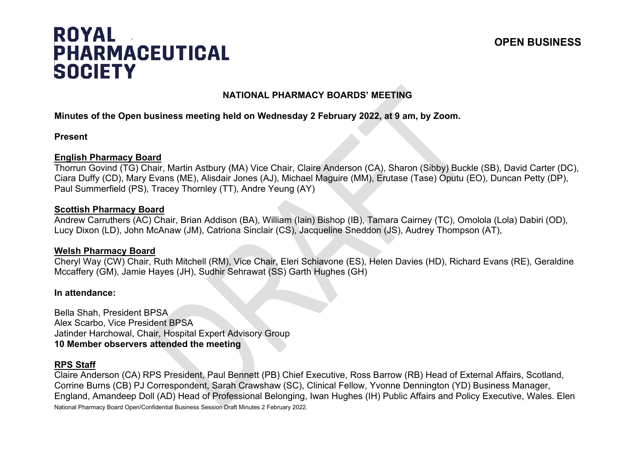# **ROYAL PHARMACEUTICAL SOCIETY**

# **NATIONAL PHARMACY BOARDS' MEETING**

### **Minutes of the Open business meeting held on Wednesday 2 February 2022, at 9 am, by Zoom.**

#### **Present**

#### **English Pharmacy Board**

Thorrun Govind (TG) Chair, Martin Astbury (MA) Vice Chair, Claire Anderson (CA), Sharon (Sibby) Buckle (SB), David Carter (DC), Ciara Duffy (CD), Mary Evans (ME), Alisdair Jones (AJ), Michael Maguire (MM), Erutase (Tase) Oputu (EO), Duncan Petty (DP), Paul Summerfield (PS), Tracey Thornley (TT), Andre Yeung (AY)

#### **Scottish Pharmacy Board**

Andrew Carruthers (AC) Chair, Brian Addison (BA), William (Iain) Bishop (IB), Tamara Cairney (TC), Omolola (Lola) Dabiri (OD), Lucy Dixon (LD), John McAnaw (JM), Catriona Sinclair (CS), Jacqueline Sneddon (JS), Audrey Thompson (AT),

#### **Welsh Pharmacy Board**

Cheryl Way (CW) Chair, Ruth Mitchell (RM), Vice Chair, Eleri Schiavone (ES), Helen Davies (HD), Richard Evans (RE), Geraldine Mccaffery (GM), Jamie Hayes (JH), Sudhir Sehrawat (SS) Garth Hughes (GH)

#### **In attendance:**

Bella Shah, President BPSA Alex Scarbo, Vice President BPSA Jatinder Harchowal, Chair, Hospital Expert Advisory Group **10 Member observers attended the meeting**

#### **RPS Staff**

National Pharmacy Board Open/Confidential Business Session Draft Minutes 2 February 2022. Claire Anderson (CA) RPS President, Paul Bennett (PB) Chief Executive, Ross Barrow (RB) Head of External Affairs, Scotland, Corrine Burns (CB) PJ Correspondent, Sarah Crawshaw (SC), Clinical Fellow, Yvonne Dennington (YD) Business Manager, England, Amandeep Doll (AD) Head of Professional Belonging, Iwan Hughes (IH) Public Affairs and Policy Executive, Wales. Elen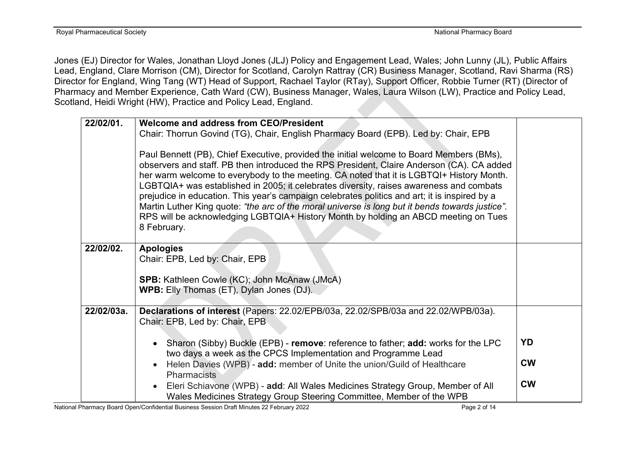Jones (EJ) Director for Wales, Jonathan Lloyd Jones (JLJ) Policy and Engagement Lead, Wales; John Lunny (JL), Public Affairs Lead, England, Clare Morrison (CM), Director for Scotland, Carolyn Rattray (CR) Business Manager, Scotland, Ravi Sharma (RS) Director for England, Wing Tang (WT) Head of Support, Rachael Taylor (RTay), Support Officer, Robbie Turner (RT) (Director of Pharmacy and Member Experience, Cath Ward (CW), Business Manager, Wales, Laura Wilson (LW), Practice and Policy Lead, Scotland, Heidi Wright (HW), Practice and Policy Lead, England.

| Chair: Thorrun Govind (TG), Chair, English Pharmacy Board (EPB). Led by: Chair, EPB<br>Paul Bennett (PB), Chief Executive, provided the initial welcome to Board Members (BMs),<br>observers and staff. PB then introduced the RPS President, Claire Anderson (CA). CA added<br>her warm welcome to everybody to the meeting. CA noted that it is LGBTQI+ History Month.<br>LGBTQIA+ was established in 2005; it celebrates diversity, raises awareness and combats<br>prejudice in education. This year's campaign celebrates politics and art; it is inspired by a<br>Martin Luther King quote: "the arc of the moral universe is long but it bends towards justice".<br>RPS will be acknowledging LGBTQIA+ History Month by holding an ABCD meeting on Tues<br>8 February.<br>22/02/02.<br><b>Apologies</b><br>Chair: EPB, Led by: Chair, EPB<br>SPB: Kathleen Cowle (KC); John McAnaw (JMcA) | 22/02/01. | Welcome and address from CEO/President          |  |
|--------------------------------------------------------------------------------------------------------------------------------------------------------------------------------------------------------------------------------------------------------------------------------------------------------------------------------------------------------------------------------------------------------------------------------------------------------------------------------------------------------------------------------------------------------------------------------------------------------------------------------------------------------------------------------------------------------------------------------------------------------------------------------------------------------------------------------------------------------------------------------------------------|-----------|-------------------------------------------------|--|
|                                                                                                                                                                                                                                                                                                                                                                                                                                                                                                                                                                                                                                                                                                                                                                                                                                                                                                  |           |                                                 |  |
|                                                                                                                                                                                                                                                                                                                                                                                                                                                                                                                                                                                                                                                                                                                                                                                                                                                                                                  |           |                                                 |  |
|                                                                                                                                                                                                                                                                                                                                                                                                                                                                                                                                                                                                                                                                                                                                                                                                                                                                                                  |           |                                                 |  |
|                                                                                                                                                                                                                                                                                                                                                                                                                                                                                                                                                                                                                                                                                                                                                                                                                                                                                                  |           |                                                 |  |
|                                                                                                                                                                                                                                                                                                                                                                                                                                                                                                                                                                                                                                                                                                                                                                                                                                                                                                  |           |                                                 |  |
|                                                                                                                                                                                                                                                                                                                                                                                                                                                                                                                                                                                                                                                                                                                                                                                                                                                                                                  |           | <b>WPB:</b> Elly Thomas (ET), Dylan Jones (DJ). |  |
|                                                                                                                                                                                                                                                                                                                                                                                                                                                                                                                                                                                                                                                                                                                                                                                                                                                                                                  |           |                                                 |  |
| 22/02/03a.<br>Declarations of interest (Papers: 22.02/EPB/03a, 22.02/SPB/03a and 22.02/WPB/03a).                                                                                                                                                                                                                                                                                                                                                                                                                                                                                                                                                                                                                                                                                                                                                                                                 |           |                                                 |  |
| Chair: EPB, Led by: Chair, EPB                                                                                                                                                                                                                                                                                                                                                                                                                                                                                                                                                                                                                                                                                                                                                                                                                                                                   |           |                                                 |  |
| <b>YD</b><br>Sharon (Sibby) Buckle (EPB) - remove: reference to father; add: works for the LPC                                                                                                                                                                                                                                                                                                                                                                                                                                                                                                                                                                                                                                                                                                                                                                                                   |           |                                                 |  |
| two days a week as the CPCS Implementation and Programme Lead                                                                                                                                                                                                                                                                                                                                                                                                                                                                                                                                                                                                                                                                                                                                                                                                                                    |           |                                                 |  |
| <b>CW</b><br>Helen Davies (WPB) - add: member of Unite the union/Guild of Healthcare                                                                                                                                                                                                                                                                                                                                                                                                                                                                                                                                                                                                                                                                                                                                                                                                             |           |                                                 |  |
| <b>Pharmacists</b><br><b>CW</b>                                                                                                                                                                                                                                                                                                                                                                                                                                                                                                                                                                                                                                                                                                                                                                                                                                                                  |           |                                                 |  |
| Eleri Schiavone (WPB) - add: All Wales Medicines Strategy Group, Member of All<br>Wales Medicines Strategy Group Steering Committee, Member of the WPB                                                                                                                                                                                                                                                                                                                                                                                                                                                                                                                                                                                                                                                                                                                                           |           |                                                 |  |

National Pharmacy Board Open/Confidential Business Session Draft Minutes 22 February 2022 Page 2 of 14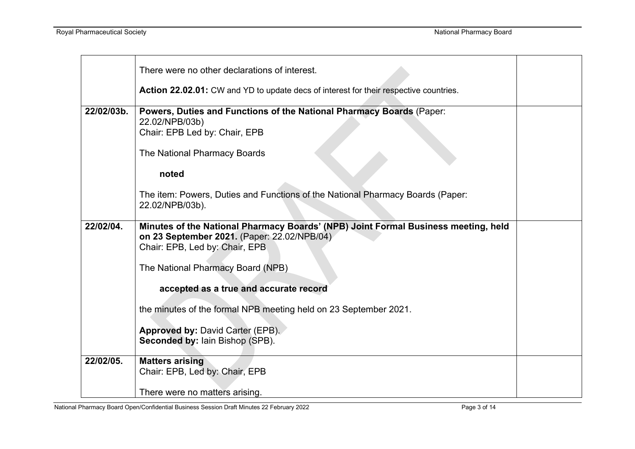|            | There were no other declarations of interest.                                                                                                                       |  |
|------------|---------------------------------------------------------------------------------------------------------------------------------------------------------------------|--|
|            | <b>Action 22.02.01:</b> CW and YD to update decs of interest for their respective countries.                                                                        |  |
| 22/02/03b. | Powers, Duties and Functions of the National Pharmacy Boards (Paper:<br>22.02/NPB/03b)<br>Chair: EPB Led by: Chair, EPB                                             |  |
|            | The National Pharmacy Boards                                                                                                                                        |  |
|            | noted                                                                                                                                                               |  |
|            | The item: Powers, Duties and Functions of the National Pharmacy Boards (Paper:<br>22.02/NPB/03b).                                                                   |  |
| 22/02/04.  | Minutes of the National Pharmacy Boards' (NPB) Joint Formal Business meeting, held<br>on 23 September 2021. (Paper: 22.02/NPB/04)<br>Chair: EPB, Led by: Chair, EPB |  |
|            | The National Pharmacy Board (NPB)                                                                                                                                   |  |
|            | accepted as a true and accurate record                                                                                                                              |  |
|            | the minutes of the formal NPB meeting held on 23 September 2021.                                                                                                    |  |
|            | <b>Approved by: David Carter (EPB).</b><br><b>Seconded by: lain Bishop (SPB).</b>                                                                                   |  |
| 22/02/05.  | <b>Matters arising</b><br>Chair: EPB, Led by: Chair, EPB                                                                                                            |  |
|            | There were no matters arising.                                                                                                                                      |  |

National Pharmacy Board Open/Confidential Business Session Draft Minutes 22 February 2022 Page 3 of 14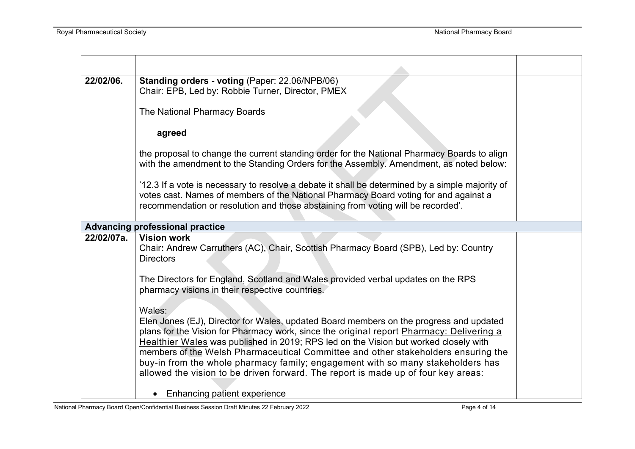| 22/02/06.  | Standing orders - voting (Paper: 22.06/NPB/06)<br>Chair: EPB, Led by: Robbie Turner, Director, PMEX                                                                                                                                                                                                                                                                                                                                                                                                                                               |  |
|------------|---------------------------------------------------------------------------------------------------------------------------------------------------------------------------------------------------------------------------------------------------------------------------------------------------------------------------------------------------------------------------------------------------------------------------------------------------------------------------------------------------------------------------------------------------|--|
|            | The National Pharmacy Boards                                                                                                                                                                                                                                                                                                                                                                                                                                                                                                                      |  |
|            | agreed                                                                                                                                                                                                                                                                                                                                                                                                                                                                                                                                            |  |
|            | the proposal to change the current standing order for the National Pharmacy Boards to align<br>with the amendment to the Standing Orders for the Assembly. Amendment, as noted below:                                                                                                                                                                                                                                                                                                                                                             |  |
|            | '12.3 If a vote is necessary to resolve a debate it shall be determined by a simple majority of<br>votes cast. Names of members of the National Pharmacy Board voting for and against a<br>recommendation or resolution and those abstaining from voting will be recorded'.                                                                                                                                                                                                                                                                       |  |
|            | <b>Advancing professional practice</b>                                                                                                                                                                                                                                                                                                                                                                                                                                                                                                            |  |
| 22/02/07a. | <b>Vision work</b><br>Chair: Andrew Carruthers (AC), Chair, Scottish Pharmacy Board (SPB), Led by: Country<br><b>Directors</b>                                                                                                                                                                                                                                                                                                                                                                                                                    |  |
|            | The Directors for England, Scotland and Wales provided verbal updates on the RPS<br>pharmacy visions in their respective countries.                                                                                                                                                                                                                                                                                                                                                                                                               |  |
|            | Wales:<br>Elen Jones (EJ), Director for Wales, updated Board members on the progress and updated<br>plans for the Vision for Pharmacy work, since the original report Pharmacy: Delivering a<br>Healthier Wales was published in 2019; RPS led on the Vision but worked closely with<br>members of the Welsh Pharmaceutical Committee and other stakeholders ensuring the<br>buy-in from the whole pharmacy family; engagement with so many stakeholders has<br>allowed the vision to be driven forward. The report is made up of four key areas: |  |
|            | Enhancing patient experience<br>$\bullet$                                                                                                                                                                                                                                                                                                                                                                                                                                                                                                         |  |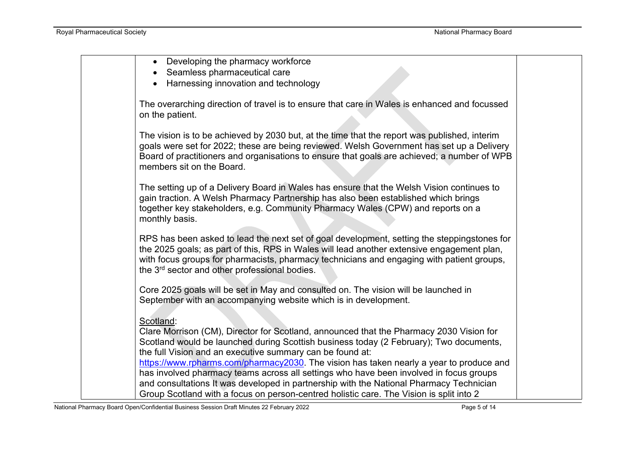| Developing the pharmacy workforce                                                            |  |
|----------------------------------------------------------------------------------------------|--|
| Seamless pharmaceutical care                                                                 |  |
| Harnessing innovation and technology                                                         |  |
|                                                                                              |  |
| The overarching direction of travel is to ensure that care in Wales is enhanced and focussed |  |
| on the patient.                                                                              |  |
|                                                                                              |  |
| The vision is to be achieved by 2030 but, at the time that the report was published, interim |  |
| goals were set for 2022; these are being reviewed. Welsh Government has set up a Delivery    |  |
| Board of practitioners and organisations to ensure that goals are achieved; a number of WPB  |  |
| members sit on the Board.                                                                    |  |
|                                                                                              |  |
| The setting up of a Delivery Board in Wales has ensure that the Welsh Vision continues to    |  |
| gain traction. A Welsh Pharmacy Partnership has also been established which brings           |  |
| together key stakeholders, e.g. Community Pharmacy Wales (CPW) and reports on a              |  |
| monthly basis.                                                                               |  |
|                                                                                              |  |
| RPS has been asked to lead the next set of goal development, setting the steppingstones for  |  |
| the 2025 goals; as part of this, RPS in Wales will lead another extensive engagement plan,   |  |
| with focus groups for pharmacists, pharmacy technicians and engaging with patient groups,    |  |
| the 3 <sup>rd</sup> sector and other professional bodies.                                    |  |
|                                                                                              |  |
| Core 2025 goals will be set in May and consulted on. The vision will be launched in          |  |
| September with an accompanying website which is in development.                              |  |
|                                                                                              |  |
| Scotland:                                                                                    |  |
| Clare Morrison (CM), Director for Scotland, announced that the Pharmacy 2030 Vision for      |  |
| Scotland would be launched during Scottish business today (2 February); Two documents,       |  |
| the full Vision and an executive summary can be found at:                                    |  |
| https://www.rpharms.com/pharmacy2030. The vision has taken nearly a year to produce and      |  |
| has involved pharmacy teams across all settings who have been involved in focus groups       |  |
| and consultations It was developed in partnership with the National Pharmacy Technician      |  |
| Group Scotland with a focus on person-centred holistic care. The Vision is split into 2      |  |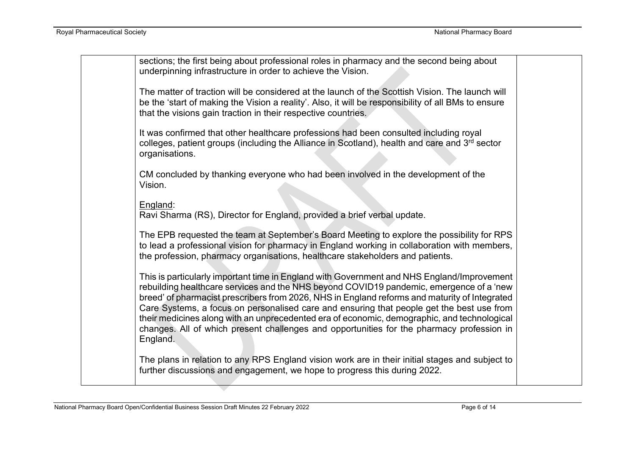| sections; the first being about professional roles in pharmacy and the second being about<br>underpinning infrastructure in order to achieve the Vision.                                                                                                                                                                                                                                                                                                                                                                                                                                    |  |
|---------------------------------------------------------------------------------------------------------------------------------------------------------------------------------------------------------------------------------------------------------------------------------------------------------------------------------------------------------------------------------------------------------------------------------------------------------------------------------------------------------------------------------------------------------------------------------------------|--|
| The matter of traction will be considered at the launch of the Scottish Vision. The launch will<br>be the 'start of making the Vision a reality'. Also, it will be responsibility of all BMs to ensure<br>that the visions gain traction in their respective countries.                                                                                                                                                                                                                                                                                                                     |  |
| It was confirmed that other healthcare professions had been consulted including royal<br>colleges, patient groups (including the Alliance in Scotland), health and care and 3rd sector<br>organisations.                                                                                                                                                                                                                                                                                                                                                                                    |  |
| CM concluded by thanking everyone who had been involved in the development of the<br>Vision.                                                                                                                                                                                                                                                                                                                                                                                                                                                                                                |  |
| England:<br>Ravi Sharma (RS), Director for England, provided a brief verbal update.                                                                                                                                                                                                                                                                                                                                                                                                                                                                                                         |  |
| The EPB requested the team at September's Board Meeting to explore the possibility for RPS<br>to lead a professional vision for pharmacy in England working in collaboration with members,<br>the profession, pharmacy organisations, healthcare stakeholders and patients.                                                                                                                                                                                                                                                                                                                 |  |
| This is particularly important time in England with Government and NHS England/Improvement<br>rebuilding healthcare services and the NHS beyond COVID19 pandemic, emergence of a 'new<br>breed' of pharmacist prescribers from 2026, NHS in England reforms and maturity of Integrated<br>Care Systems, a focus on personalised care and ensuring that people get the best use from<br>their medicines along with an unprecedented era of economic, demographic, and technological<br>changes. All of which present challenges and opportunities for the pharmacy profession in<br>England. |  |
| The plans in relation to any RPS England vision work are in their initial stages and subject to<br>further discussions and engagement, we hope to progress this during 2022.                                                                                                                                                                                                                                                                                                                                                                                                                |  |
|                                                                                                                                                                                                                                                                                                                                                                                                                                                                                                                                                                                             |  |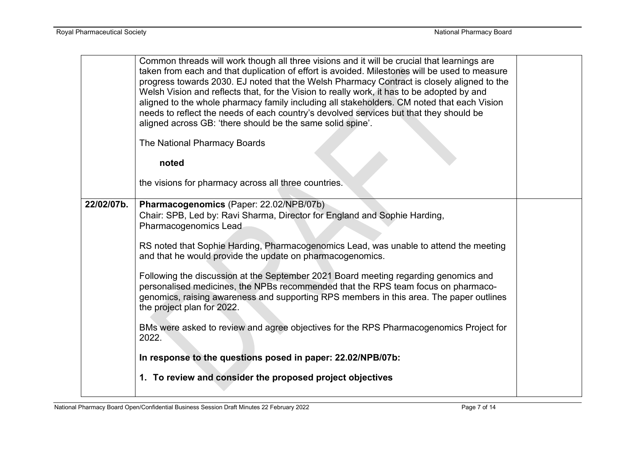|            | Common threads will work though all three visions and it will be crucial that learnings are<br>taken from each and that duplication of effort is avoided. Milestones will be used to measure<br>progress towards 2030. EJ noted that the Welsh Pharmacy Contract is closely aligned to the<br>Welsh Vision and reflects that, for the Vision to really work, it has to be adopted by and<br>aligned to the whole pharmacy family including all stakeholders. CM noted that each Vision<br>needs to reflect the needs of each country's devolved services but that they should be<br>aligned across GB: 'there should be the same solid spine'.<br>The National Pharmacy Boards |  |
|------------|--------------------------------------------------------------------------------------------------------------------------------------------------------------------------------------------------------------------------------------------------------------------------------------------------------------------------------------------------------------------------------------------------------------------------------------------------------------------------------------------------------------------------------------------------------------------------------------------------------------------------------------------------------------------------------|--|
|            | noted                                                                                                                                                                                                                                                                                                                                                                                                                                                                                                                                                                                                                                                                          |  |
|            | the visions for pharmacy across all three countries.                                                                                                                                                                                                                                                                                                                                                                                                                                                                                                                                                                                                                           |  |
| 22/02/07b. | Pharmacogenomics (Paper: 22.02/NPB/07b)<br>Chair: SPB, Led by: Ravi Sharma, Director for England and Sophie Harding,<br><b>Pharmacogenomics Lead</b>                                                                                                                                                                                                                                                                                                                                                                                                                                                                                                                           |  |
|            | RS noted that Sophie Harding, Pharmacogenomics Lead, was unable to attend the meeting<br>and that he would provide the update on pharmacogenomics.                                                                                                                                                                                                                                                                                                                                                                                                                                                                                                                             |  |
|            | Following the discussion at the September 2021 Board meeting regarding genomics and<br>personalised medicines, the NPBs recommended that the RPS team focus on pharmaco-<br>genomics, raising awareness and supporting RPS members in this area. The paper outlines<br>the project plan for 2022.                                                                                                                                                                                                                                                                                                                                                                              |  |
|            | BMs were asked to review and agree objectives for the RPS Pharmacogenomics Project for<br>2022.                                                                                                                                                                                                                                                                                                                                                                                                                                                                                                                                                                                |  |
|            | In response to the questions posed in paper: 22.02/NPB/07b:                                                                                                                                                                                                                                                                                                                                                                                                                                                                                                                                                                                                                    |  |
|            | 1. To review and consider the proposed project objectives                                                                                                                                                                                                                                                                                                                                                                                                                                                                                                                                                                                                                      |  |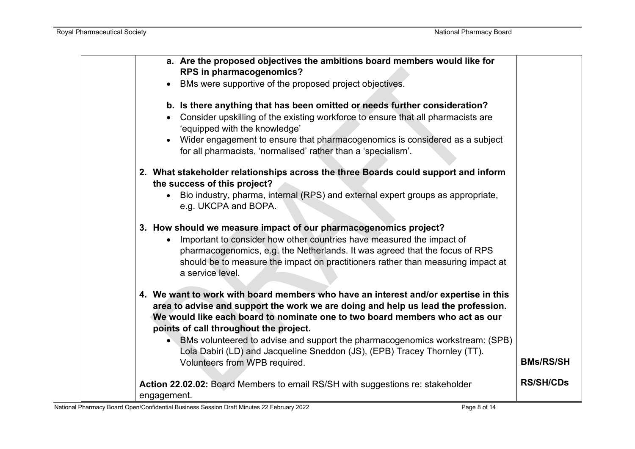| a. Are the proposed objectives the ambitions board members would like for<br>RPS in pharmacogenomics?<br>BMs were supportive of the proposed project objectives.<br>b. Is there anything that has been omitted or needs further consideration?<br>Consider upskilling of the existing workforce to ensure that all pharmacists are<br>'equipped with the knowledge'<br>Wider engagement to ensure that pharmacogenomics is considered as a subject<br>for all pharmacists, 'normalised' rather than a 'specialism'. |                  |
|---------------------------------------------------------------------------------------------------------------------------------------------------------------------------------------------------------------------------------------------------------------------------------------------------------------------------------------------------------------------------------------------------------------------------------------------------------------------------------------------------------------------|------------------|
| 2. What stakeholder relationships across the three Boards could support and inform<br>the success of this project?<br>Bio industry, pharma, internal (RPS) and external expert groups as appropriate,<br>e.g. UKCPA and BOPA.                                                                                                                                                                                                                                                                                       |                  |
| 3. How should we measure impact of our pharmacogenomics project?<br>Important to consider how other countries have measured the impact of<br>pharmacogenomics, e.g. the Netherlands. It was agreed that the focus of RPS<br>should be to measure the impact on practitioners rather than measuring impact at<br>a service level.                                                                                                                                                                                    |                  |
| 4. We want to work with board members who have an interest and/or expertise in this<br>area to advise and support the work we are doing and help us lead the profession.<br>We would like each board to nominate one to two board members who act as our<br>points of call throughout the project.<br>• BMs volunteered to advise and support the pharmacogenomics workstream: (SPB)<br>Lola Dabiri (LD) and Jacqueline Sneddon (JS), (EPB) Tracey Thornley (TT).<br>Volunteers from WPB required.                  | <b>BMs/RS/SH</b> |
| Action 22.02.02: Board Members to email RS/SH with suggestions re: stakeholder<br>engagement.                                                                                                                                                                                                                                                                                                                                                                                                                       | <b>RS/SH/CDs</b> |

National Pharmacy Board Open/Confidential Business Session Draft Minutes 22 February 2022 Page 8 of 14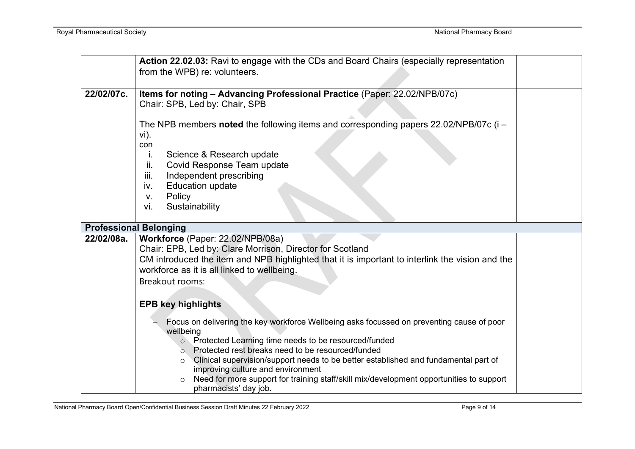|            | Action 22.02.03: Ravi to engage with the CDs and Board Chairs (especially representation<br>from the WPB) re: volunteers.                                                                                                                                                                                                                                               |  |
|------------|-------------------------------------------------------------------------------------------------------------------------------------------------------------------------------------------------------------------------------------------------------------------------------------------------------------------------------------------------------------------------|--|
| 22/02/07c. | Items for noting - Advancing Professional Practice (Paper: 22.02/NPB/07c)<br>Chair: SPB, Led by: Chair, SPB                                                                                                                                                                                                                                                             |  |
|            | The NPB members noted the following items and corresponding papers $22.02/NPB/07c$ (i $-$<br>vi).<br>con                                                                                                                                                                                                                                                                |  |
|            | Science & Research update<br>Ι.<br>ii.<br>Covid Response Team update<br>Independent prescribing<br>iii.                                                                                                                                                                                                                                                                 |  |
|            | <b>Education update</b><br>iv.<br>Policy<br>V.                                                                                                                                                                                                                                                                                                                          |  |
|            | Sustainability<br>vi.<br><b>Professional Belonging</b>                                                                                                                                                                                                                                                                                                                  |  |
| 22/02/08a. | Workforce (Paper: 22.02/NPB/08a)<br>Chair: EPB, Led by: Clare Morrison, Director for Scotland<br>CM introduced the item and NPB highlighted that it is important to interlink the vision and the<br>workforce as it is all linked to wellbeing.<br>Breakout rooms:                                                                                                      |  |
|            | <b>EPB key highlights</b>                                                                                                                                                                                                                                                                                                                                               |  |
|            | Focus on delivering the key workforce Wellbeing asks focussed on preventing cause of poor<br>wellbeing<br>o Protected Learning time needs to be resourced/funded<br>Protected rest breaks need to be resourced/funded<br>$\circ$<br>Clinical supervision/support needs to be better established and fundamental part of<br>$\circ$<br>improving culture and environment |  |
|            | Need for more support for training staff/skill mix/development opportunities to support<br>pharmacists' day job.                                                                                                                                                                                                                                                        |  |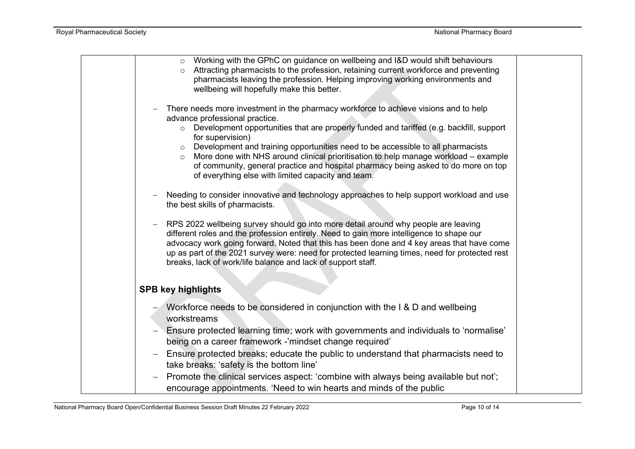| ○ Working with the GPhC on guidance on wellbeing and I&D would shift behaviours<br>Attracting pharmacists to the profession, retaining current workforce and preventing<br>$\circ$<br>pharmacists leaving the profession. Helping improving working environments and<br>wellbeing will hopefully make this better.                                                                                                                                                                                                                                                                  |  |
|-------------------------------------------------------------------------------------------------------------------------------------------------------------------------------------------------------------------------------------------------------------------------------------------------------------------------------------------------------------------------------------------------------------------------------------------------------------------------------------------------------------------------------------------------------------------------------------|--|
| There needs more investment in the pharmacy workforce to achieve visions and to help<br>advance professional practice.<br>o Development opportunities that are properly funded and tariffed (e.g. backfill, support<br>for supervision)<br>Development and training opportunities need to be accessible to all pharmacists<br>$\circ$<br>More done with NHS around clinical prioritisation to help manage workload - example<br>$\circ$<br>of community, general practice and hospital pharmacy being asked to do more on top<br>of everything else with limited capacity and team. |  |
| Needing to consider innovative and technology approaches to help support workload and use<br>the best skills of pharmacists.                                                                                                                                                                                                                                                                                                                                                                                                                                                        |  |
| RPS 2022 wellbeing survey should go into more detail around why people are leaving<br>different roles and the profession entirely. Need to gain more intelligence to shape our<br>advocacy work going forward. Noted that this has been done and 4 key areas that have come<br>up as part of the 2021 survey were: need for protected learning times, need for protected rest<br>breaks, lack of work/life balance and lack of support staff.                                                                                                                                       |  |
| <b>SPB key highlights</b>                                                                                                                                                                                                                                                                                                                                                                                                                                                                                                                                                           |  |
| Workforce needs to be considered in conjunction with the I & D and wellbeing<br>workstreams                                                                                                                                                                                                                                                                                                                                                                                                                                                                                         |  |
| Ensure protected learning time; work with governments and individuals to 'normalise'<br>being on a career framework -'mindset change required'                                                                                                                                                                                                                                                                                                                                                                                                                                      |  |
| Ensure protected breaks; educate the public to understand that pharmacists need to<br>$\qquad \qquad -$<br>take breaks: 'safety is the bottom line'                                                                                                                                                                                                                                                                                                                                                                                                                                 |  |
| Promote the clinical services aspect: 'combine with always being available but not';<br>encourage appointments. 'Need to win hearts and minds of the public                                                                                                                                                                                                                                                                                                                                                                                                                         |  |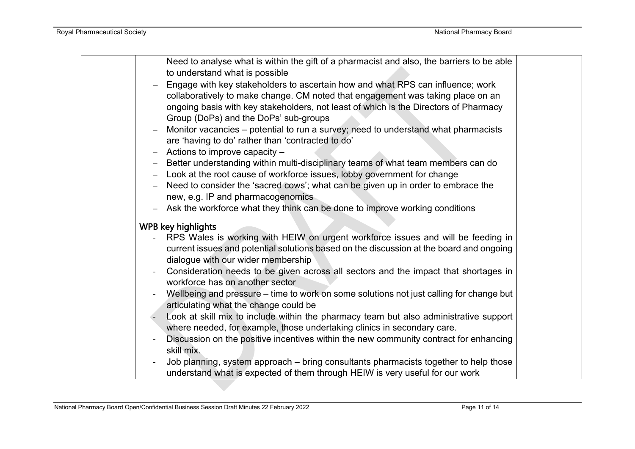| Need to analyse what is within the gift of a pharmacist and also, the barriers to be able<br>to understand what is possible |  |
|-----------------------------------------------------------------------------------------------------------------------------|--|
|                                                                                                                             |  |
| Engage with key stakeholders to ascertain how and what RPS can influence; work                                              |  |
| collaboratively to make change. CM noted that engagement was taking place on an                                             |  |
| ongoing basis with key stakeholders, not least of which is the Directors of Pharmacy                                        |  |
| Group (DoPs) and the DoPs' sub-groups                                                                                       |  |
| Monitor vacancies – potential to run a survey; need to understand what pharmacists                                          |  |
| are 'having to do' rather than 'contracted to do'                                                                           |  |
| Actions to improve capacity -<br>$-$                                                                                        |  |
| Better understanding within multi-disciplinary teams of what team members can do                                            |  |
| Look at the root cause of workforce issues, lobby government for change                                                     |  |
| Need to consider the 'sacred cows'; what can be given up in order to embrace the                                            |  |
| new, e.g. IP and pharmacogenomics                                                                                           |  |
| Ask the workforce what they think can be done to improve working conditions<br>$-$                                          |  |
| WPB key highlights                                                                                                          |  |
| RPS Wales is working with HEIW on urgent workforce issues and will be feeding in                                            |  |
| current issues and potential solutions based on the discussion at the board and ongoing                                     |  |
| dialogue with our wider membership                                                                                          |  |
| Consideration needs to be given across all sectors and the impact that shortages in                                         |  |
| workforce has on another sector                                                                                             |  |
| Wellbeing and pressure – time to work on some solutions not just calling for change but                                     |  |
| articulating what the change could be                                                                                       |  |
| Look at skill mix to include within the pharmacy team but also administrative support                                       |  |
| where needed, for example, those undertaking clinics in secondary care.                                                     |  |
| Discussion on the positive incentives within the new community contract for enhancing                                       |  |
| skill mix.                                                                                                                  |  |
| Job planning, system approach – bring consultants pharmacists together to help those                                        |  |
| understand what is expected of them through HEIW is very useful for our work                                                |  |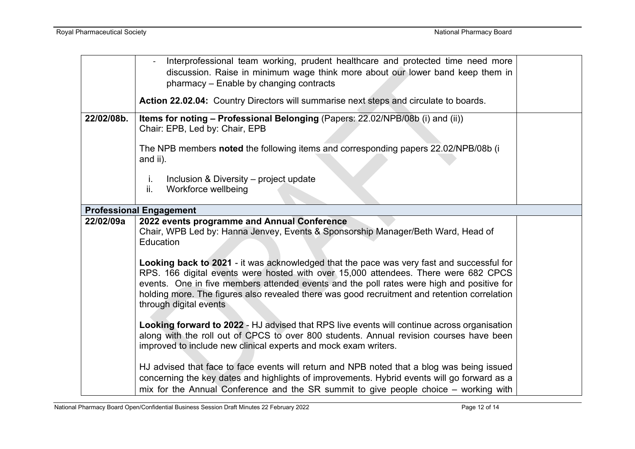|            | Interprofessional team working, prudent healthcare and protected time need more<br>discussion. Raise in minimum wage think more about our lower band keep them in<br>pharmacy – Enable by changing contracts<br>Action 22.02.04: Country Directors will summarise next steps and circulate to boards.                                                                                                   |  |
|------------|---------------------------------------------------------------------------------------------------------------------------------------------------------------------------------------------------------------------------------------------------------------------------------------------------------------------------------------------------------------------------------------------------------|--|
|            |                                                                                                                                                                                                                                                                                                                                                                                                         |  |
| 22/02/08b. | Items for noting - Professional Belonging (Papers: 22.02/NPB/08b (i) and (ii))<br>Chair: EPB, Led by: Chair, EPB                                                                                                                                                                                                                                                                                        |  |
|            | The NPB members noted the following items and corresponding papers 22.02/NPB/08b (i<br>and ii).                                                                                                                                                                                                                                                                                                         |  |
|            | Inclusion & Diversity – project update<br>j.<br>Workforce wellbeing<br>ii.                                                                                                                                                                                                                                                                                                                              |  |
|            | <b>Professional Engagement</b>                                                                                                                                                                                                                                                                                                                                                                          |  |
| 22/02/09a  | 2022 events programme and Annual Conference                                                                                                                                                                                                                                                                                                                                                             |  |
|            | Chair, WPB Led by: Hanna Jenvey, Events & Sponsorship Manager/Beth Ward, Head of<br>Education                                                                                                                                                                                                                                                                                                           |  |
|            | Looking back to 2021 - it was acknowledged that the pace was very fast and successful for<br>RPS. 166 digital events were hosted with over 15,000 attendees. There were 682 CPCS<br>events. One in five members attended events and the poll rates were high and positive for<br>holding more. The figures also revealed there was good recruitment and retention correlation<br>through digital events |  |
|            | Looking forward to 2022 - HJ advised that RPS live events will continue across organisation<br>along with the roll out of CPCS to over 800 students. Annual revision courses have been<br>improved to include new clinical experts and mock exam writers.                                                                                                                                               |  |
|            | HJ advised that face to face events will return and NPB noted that a blog was being issued<br>concerning the key dates and highlights of improvements. Hybrid events will go forward as a<br>mix for the Annual Conference and the SR summit to give people choice - working with                                                                                                                       |  |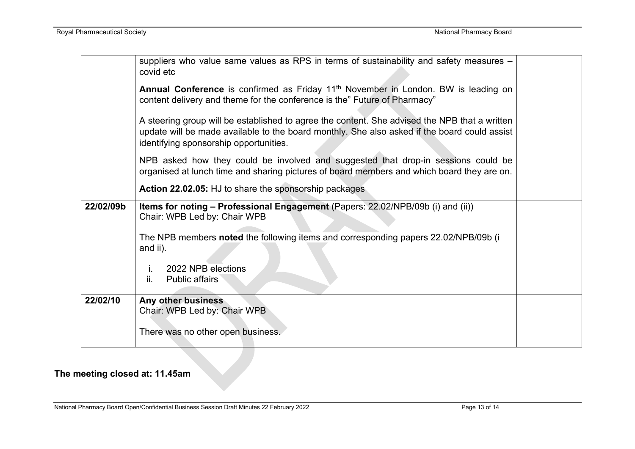|           | suppliers who value same values as RPS in terms of sustainability and safety measures -<br>covid etc                                                                                                                                    |  |
|-----------|-----------------------------------------------------------------------------------------------------------------------------------------------------------------------------------------------------------------------------------------|--|
|           | Annual Conference is confirmed as Friday 11 <sup>th</sup> November in London. BW is leading on<br>content delivery and theme for the conference is the" Future of Pharmacy"                                                             |  |
|           | A steering group will be established to agree the content. She advised the NPB that a written<br>update will be made available to the board monthly. She also asked if the board could assist<br>identifying sponsorship opportunities. |  |
|           | NPB asked how they could be involved and suggested that drop-in sessions could be<br>organised at lunch time and sharing pictures of board members and which board they are on.                                                         |  |
|           | Action 22.02.05: HJ to share the sponsorship packages                                                                                                                                                                                   |  |
| 22/02/09b | Items for noting - Professional Engagement (Papers: 22.02/NPB/09b (i) and (ii))<br>Chair: WPB Led by: Chair WPB                                                                                                                         |  |
|           | The NPB members noted the following items and corresponding papers 22.02/NPB/09b (i<br>and ii).                                                                                                                                         |  |
|           | 2022 NPB elections<br>İ.<br>ii.<br><b>Public affairs</b>                                                                                                                                                                                |  |
| 22/02/10  | Any other business<br>Chair: WPB Led by: Chair WPB                                                                                                                                                                                      |  |
|           | There was no other open business.                                                                                                                                                                                                       |  |

# **The meeting closed at: 11.45am**